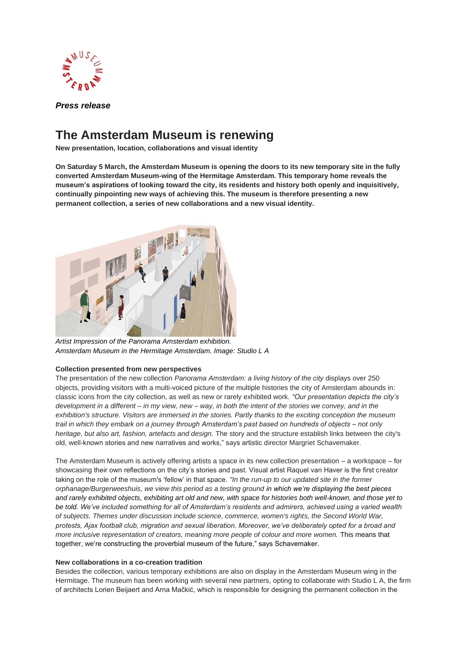

*Press release*

# **The Amsterdam Museum is renewing**

**New presentation, location, collaborations and visual identity**

**On Saturday 5 March, the Amsterdam Museum is opening the doors to its new temporary site in the fully converted Amsterdam Museum-wing of the Hermitage Amsterdam. This temporary home reveals the museum's aspirations of looking toward the city, its residents and history both openly and inquisitively, continually pinpointing new ways of achieving this. The museum is therefore presenting a new permanent collection, a series of new collaborations and a new visual identity.** 



*Artist Impression of the Panorama Amsterdam exhibition. Amsterdam Museum in the Hermitage Amsterdam. Image: Studio L A*

## **Collection presented from new perspectives**

The presentation of the new collection *Panorama Amsterdam: a living history of the city* displays over 250 objects, providing visitors with a multi-voiced picture of the multiple histories the city of Amsterdam abounds in: classic icons from the city collection, as well as new or rarely exhibited work. *"Our presentation depicts the city's development in a different – in my view, new – way, in both the intent of the stories we convey, and in the exhibition's structure. Visitors are immersed in the stories. Partly thanks to the exciting conception the museum trail in which they embark on a journey through Amsterdam's past based on hundreds of objects – not only heritage, but also art, fashion, artefacts and design.* The story and the structure establish links between the city's old, well-known stories and new narratives and works," says artistic director Margriet Schavemaker.

The Amsterdam Museum is actively offering artists a space in its new collection presentation – a workspace – for showcasing their own reflections on the city's stories and past. Visual artist Raquel van Haver is the first creator taking on the role of the museum's 'fellow' in that space. *"In the run-up to our updated site in the former orphanage/Burgerweeshuis, we view this period as a testing ground in which we're displaying the best pieces and rarely exhibited objects, exhibiting art old and new, with space for histories both well-known, and those yet to be told. We've included something for all of Amsterdam's residents and admirers, achieved using a varied wealth of subjects. Themes under discussion include science, commerce, women's rights, the Second World War, protests, Ajax football club, migration and sexual liberation. Moreover, we've deliberately opted for a broad and more inclusive representation of creators, meaning more people of colour and more women.* This means that together, we're constructing the proverbial museum of the future," says Schavemaker.

## **New collaborations in a co-creation tradition**

Besides the collection, various temporary exhibitions are also on display in the Amsterdam Museum wing in the Hermitage. The museum has been working with several new partners, opting to collaborate with Studio L A, the firm of architects Lorien Beijaert and Arna Mačkić, which is responsible for designing the permanent collection in the